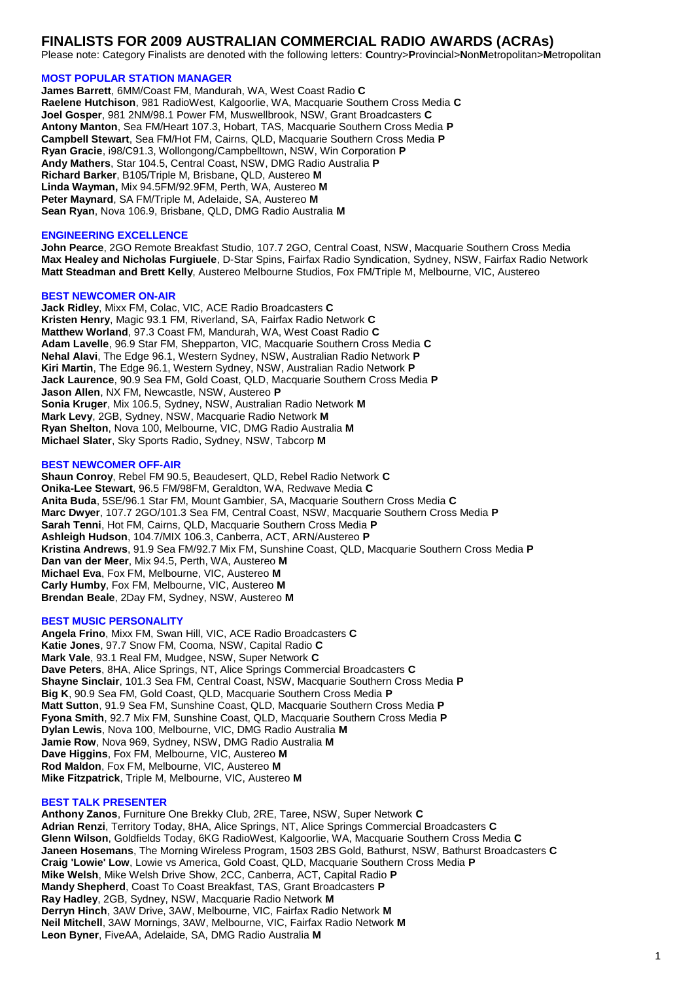# **FINALISTS FOR 2009 AUSTRALIAN COMMERCIAL RADIO AWARDS (ACRAs)**

Please note: Category Finalists are denoted with the following letters: **C**ountry>**P**rovincial>**N**on**M**etropolitan>**M**etropolitan

# **MOST POPULAR STATION MANAGER**

**James Barrett**, 6MM/Coast FM, Mandurah, WA, West Coast Radio **C Raelene Hutchison**, 981 RadioWest, Kalgoorlie, WA, Macquarie Southern Cross Media **C Joel Gosper**, 981 2NM/98.1 Power FM, Muswellbrook, NSW, Grant Broadcasters **C Antony Manton**, Sea FM/Heart 107.3, Hobart, TAS, Macquarie Southern Cross Media **P Campbell Stewart**, Sea FM/Hot FM, Cairns, QLD, Macquarie Southern Cross Media **P Ryan Gracie**, i98/C91.3, Wollongong/Campbelltown, NSW, Win Corporation **P Andy Mathers**, Star 104.5, Central Coast, NSW, DMG Radio Australia **P Richard Barker**, B105/Triple M, Brisbane, QLD, Austereo **M Linda Wayman,** Mix 94.5FM/92.9FM, Perth, WA, Austereo **M Peter Maynard**, SA FM/Triple M, Adelaide, SA, Austereo **M Sean Ryan**, Nova 106.9, Brisbane, QLD, DMG Radio Australia **M**

# **ENGINEERING EXCELLENCE**

**John Pearce**, 2GO Remote Breakfast Studio, 107.7 2GO, Central Coast, NSW, Macquarie Southern Cross Media **Max Healey and Nicholas Furgiuele**, D-Star Spins, Fairfax Radio Syndication, Sydney, NSW, Fairfax Radio Network **Matt Steadman and Brett Kelly**, Austereo Melbourne Studios, Fox FM/Triple M, Melbourne, VIC, Austereo

### **BEST NEWCOMER ON-AIR**

**Jack Ridley**, Mixx FM, Colac, VIC, ACE Radio Broadcasters **C Kristen Henry**, Magic 93.1 FM, Riverland, SA, Fairfax Radio Network **C Matthew Worland**, 97.3 Coast FM, Mandurah, WA, West Coast Radio **C Adam Lavelle**, 96.9 Star FM, Shepparton, VIC, Macquarie Southern Cross Media **C Nehal Alavi**, The Edge 96.1, Western Sydney, NSW, Australian Radio Network **P Kiri Martin**, The Edge 96.1, Western Sydney, NSW, Australian Radio Network **P Jack Laurence**, 90.9 Sea FM, Gold Coast, QLD, Macquarie Southern Cross Media **P Jason Allen**, NX FM, Newcastle, NSW, Austereo **P Sonia Kruger**, Mix 106.5, Sydney, NSW, Australian Radio Network **M Mark Levy**, 2GB, Sydney, NSW, Macquarie Radio Network **M Ryan Shelton**, Nova 100, Melbourne, VIC, DMG Radio Australia **M Michael Slater**, Sky Sports Radio, Sydney, NSW, Tabcorp **M**

# **BEST NEWCOMER OFF-AIR**

**Shaun Conroy**, Rebel FM 90.5, Beaudesert, QLD, Rebel Radio Network **C Onika-Lee Stewart**, 96.5 FM/98FM, Geraldton, WA, Redwave Media **C Anita Buda**, 5SE/96.1 Star FM, Mount Gambier, SA, Macquarie Southern Cross Media **C Marc Dwyer**, 107.7 2GO/101.3 Sea FM, Central Coast, NSW, Macquarie Southern Cross Media **P Sarah Tenni**, Hot FM, Cairns, QLD, Macquarie Southern Cross Media **P Ashleigh Hudson**, 104.7/MIX 106.3, Canberra, ACT, ARN/Austereo **P Kristina Andrews**, 91.9 Sea FM/92.7 Mix FM, Sunshine Coast, QLD, Macquarie Southern Cross Media **P Dan van der Meer**, Mix 94.5, Perth, WA, Austereo **M Michael Eva**, Fox FM, Melbourne, VIC, Austereo **M Carly Humby**, Fox FM, Melbourne, VIC, Austereo **M Brendan Beale**, 2Day FM, Sydney, NSW, Austereo **M**

### **BEST MUSIC PERSONALITY**

**Angela Frino**, Mixx FM, Swan Hill, VIC, ACE Radio Broadcasters **C Katie Jones**, 97.7 Snow FM, Cooma, NSW, Capital Radio **C Mark Vale**, 93.1 Real FM, Mudgee, NSW, Super Network **C Dave Peters**, 8HA, Alice Springs, NT, Alice Springs Commercial Broadcasters **C Shayne Sinclair**, 101.3 Sea FM, Central Coast, NSW, Macquarie Southern Cross Media **P Big K**, 90.9 Sea FM, Gold Coast, QLD, Macquarie Southern Cross Media **P Matt Sutton**, 91.9 Sea FM, Sunshine Coast, QLD, Macquarie Southern Cross Media **P Fyona Smith**, 92.7 Mix FM, Sunshine Coast, QLD, Macquarie Southern Cross Media **P Dylan Lewis**, Nova 100, Melbourne, VIC, DMG Radio Australia **M Jamie Row**, Nova 969, Sydney, NSW, DMG Radio Australia **M Dave Higgins**, Fox FM, Melbourne, VIC, Austereo **M Rod Maldon**, Fox FM, Melbourne, VIC, Austereo **M Mike Fitzpatrick**, Triple M, Melbourne, VIC, Austereo **M**

# **BEST TALK PRESENTER**

**Anthony Zanos**, Furniture One Brekky Club, 2RE, Taree, NSW, Super Network **C Adrian Renzi**, Territory Today, 8HA, Alice Springs, NT, Alice Springs Commercial Broadcasters **C Glenn Wilson**, Goldfields Today, 6KG RadioWest, Kalgoorlie, WA, Macquarie Southern Cross Media **C Janeen Hosemans**, The Morning Wireless Program, 1503 2BS Gold, Bathurst, NSW, Bathurst Broadcasters **C Craig 'Lowie' Low**, Lowie vs America, Gold Coast, QLD, Macquarie Southern Cross Media **P Mike Welsh**, Mike Welsh Drive Show, 2CC, Canberra, ACT, Capital Radio **P Mandy Shepherd**, Coast To Coast Breakfast, TAS, Grant Broadcasters **P Ray Hadley**, 2GB, Sydney, NSW, Macquarie Radio Network **M Derryn Hinch**, 3AW Drive, 3AW, Melbourne, VIC, Fairfax Radio Network **M Neil Mitchell**, 3AW Mornings, 3AW, Melbourne, VIC, Fairfax Radio Network **M Leon Byner**, FiveAA, Adelaide, SA, DMG Radio Australia **M**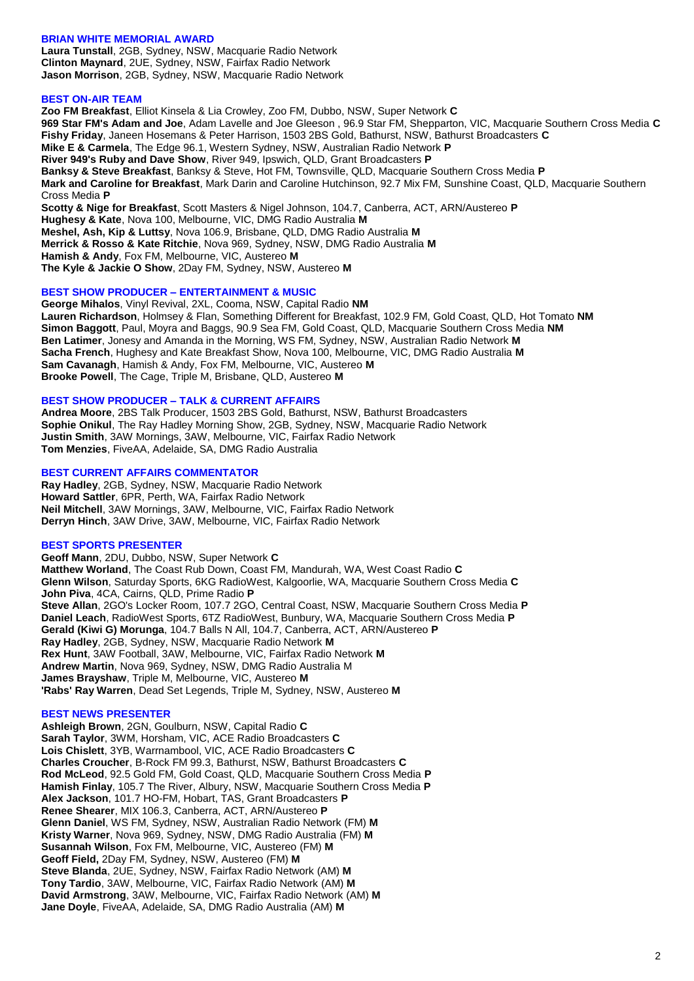# **BRIAN WHITE MEMORIAL AWARD**

**Laura Tunstall**, 2GB, Sydney, NSW, Macquarie Radio Network **Clinton Maynard**, 2UE, Sydney, NSW, Fairfax Radio Network **Jason Morrison**, 2GB, Sydney, NSW, Macquarie Radio Network

# **BEST ON-AIR TEAM**

**Zoo FM Breakfast**, Elliot Kinsela & Lia Crowley, Zoo FM, Dubbo, NSW, Super Network **C 969 Star FM's Adam and Joe**, Adam Lavelle and Joe Gleeson , 96.9 Star FM, Shepparton, VIC, Macquarie Southern Cross Media **C Fishy Friday**, Janeen Hosemans & Peter Harrison, 1503 2BS Gold, Bathurst, NSW, Bathurst Broadcasters **C Mike E & Carmela**, The Edge 96.1, Western Sydney, NSW, Australian Radio Network **P River 949's Ruby and Dave Show**, River 949, Ipswich, QLD, Grant Broadcasters **P Banksy & Steve Breakfast**, Banksy & Steve, Hot FM, Townsville, QLD, Macquarie Southern Cross Media **P Mark and Caroline for Breakfast**, Mark Darin and Caroline Hutchinson, 92.7 Mix FM, Sunshine Coast, QLD, Macquarie Southern Cross Media **P Scotty & Nige for Breakfast**, Scott Masters & Nigel Johnson, 104.7, Canberra, ACT, ARN/Austereo **P Hughesy & Kate**, Nova 100, Melbourne, VIC, DMG Radio Australia **M Meshel, Ash, Kip & Luttsy**, Nova 106.9, Brisbane, QLD, DMG Radio Australia **M Merrick & Rosso & Kate Ritchie**, Nova 969, Sydney, NSW, DMG Radio Australia **M Hamish & Andy**, Fox FM, Melbourne, VIC, Austereo **M The Kyle & Jackie O Show**, 2Day FM, Sydney, NSW, Austereo **M**

### **BEST SHOW PRODUCER – ENTERTAINMENT & MUSIC**

**George Mihalos**, Vinyl Revival, 2XL, Cooma, NSW, Capital Radio **NM Lauren Richardson**, Holmsey & Flan, Something Different for Breakfast, 102.9 FM, Gold Coast, QLD, Hot Tomato **NM Simon Baggott**, Paul, Moyra and Baggs, 90.9 Sea FM, Gold Coast, QLD, Macquarie Southern Cross Media **NM Ben Latimer**, Jonesy and Amanda in the Morning, WS FM, Sydney, NSW, Australian Radio Network **M Sacha French**, Hughesy and Kate Breakfast Show, Nova 100, Melbourne, VIC, DMG Radio Australia **M Sam Cavanagh**, Hamish & Andy, Fox FM, Melbourne, VIC, Austereo **M Brooke Powell**, The Cage, Triple M, Brisbane, QLD, Austereo **M**

### **BEST SHOW PRODUCER – TALK & CURRENT AFFAIRS**

**Andrea Moore**, 2BS Talk Producer, 1503 2BS Gold, Bathurst, NSW, Bathurst Broadcasters **Sophie Onikul**, The Ray Hadley Morning Show, 2GB, Sydney, NSW, Macquarie Radio Network **Justin Smith**, 3AW Mornings, 3AW, Melbourne, VIC, Fairfax Radio Network **Tom Menzies**, FiveAA, Adelaide, SA, DMG Radio Australia

### **BEST CURRENT AFFAIRS COMMENTATOR**

**Ray Hadley**, 2GB, Sydney, NSW, Macquarie Radio Network **Howard Sattler**, 6PR, Perth, WA, Fairfax Radio Network **Neil Mitchell**, 3AW Mornings, 3AW, Melbourne, VIC, Fairfax Radio Network **Derryn Hinch**, 3AW Drive, 3AW, Melbourne, VIC, Fairfax Radio Network

### **BEST SPORTS PRESENTER**

**Geoff Mann**, 2DU, Dubbo, NSW, Super Network **C Matthew Worland**, The Coast Rub Down, Coast FM, Mandurah, WA, West Coast Radio **C Glenn Wilson**, Saturday Sports, 6KG RadioWest, Kalgoorlie, WA, Macquarie Southern Cross Media **C John Piva**, 4CA, Cairns, QLD, Prime Radio **P Steve Allan**, 2GO's Locker Room, 107.7 2GO, Central Coast, NSW, Macquarie Southern Cross Media **P Daniel Leach**, RadioWest Sports, 6TZ RadioWest, Bunbury, WA, Macquarie Southern Cross Media **P Gerald (Kiwi G) Morunga**, 104.7 Balls N All, 104.7, Canberra, ACT, ARN/Austereo **P Ray Hadley**, 2GB, Sydney, NSW, Macquarie Radio Network **M Rex Hunt**, 3AW Football, 3AW, Melbourne, VIC, Fairfax Radio Network **M Andrew Martin**, Nova 969, Sydney, NSW, DMG Radio Australia M **James Brayshaw**, Triple M, Melbourne, VIC, Austereo **M 'Rabs' Ray Warren**, Dead Set Legends, Triple M, Sydney, NSW, Austereo **M**

#### **BEST NEWS PRESENTER**

**Ashleigh Brown**, 2GN, Goulburn, NSW, Capital Radio **C Sarah Taylor**, 3WM, Horsham, VIC, ACE Radio Broadcasters **C Lois Chislett**, 3YB, Warrnambool, VIC, ACE Radio Broadcasters **C Charles Croucher**, B-Rock FM 99.3, Bathurst, NSW, Bathurst Broadcasters **C Rod McLeod**, 92.5 Gold FM, Gold Coast, QLD, Macquarie Southern Cross Media **P Hamish Finlay**, 105.7 The River, Albury, NSW, Macquarie Southern Cross Media **P Alex Jackson**, 101.7 HO-FM, Hobart, TAS, Grant Broadcasters **P Renee Shearer**, MIX 106.3, Canberra, ACT, ARN/Austereo **P Glenn Daniel**, WS FM, Sydney, NSW, Australian Radio Network (FM) **M Kristy Warner**, Nova 969, Sydney, NSW, DMG Radio Australia (FM) **M Susannah Wilson**, Fox FM, Melbourne, VIC, Austereo (FM) **M Geoff Field,** 2Day FM, Sydney, NSW, Austereo (FM) **M Steve Blanda**, 2UE, Sydney, NSW, Fairfax Radio Network (AM) **M Tony Tardio**, 3AW, Melbourne, VIC, Fairfax Radio Network (AM) **M David Armstrong**, 3AW, Melbourne, VIC, Fairfax Radio Network (AM) **M Jane Doyle**, FiveAA, Adelaide, SA, DMG Radio Australia (AM) **M**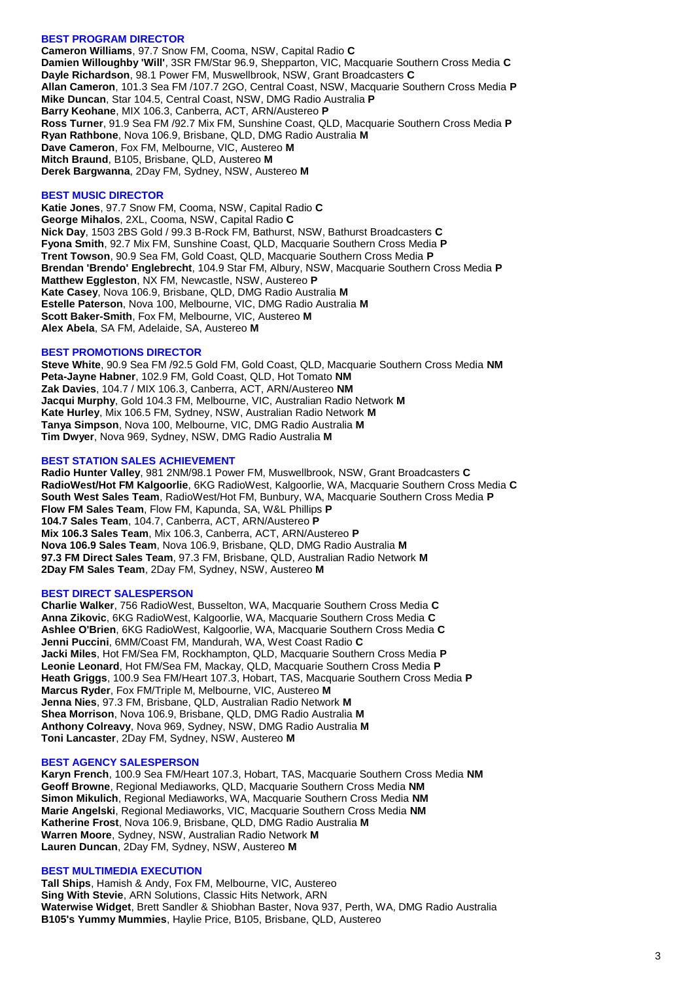# **BEST PROGRAM DIRECTOR**

**Cameron Williams**, 97.7 Snow FM, Cooma, NSW, Capital Radio **C Damien Willoughby 'Will'**, 3SR FM/Star 96.9, Shepparton, VIC, Macquarie Southern Cross Media **C Dayle Richardson**, 98.1 Power FM, Muswellbrook, NSW, Grant Broadcasters **C Allan Cameron**, 101.3 Sea FM /107.7 2GO, Central Coast, NSW, Macquarie Southern Cross Media **P Mike Duncan**, Star 104.5, Central Coast, NSW, DMG Radio Australia **P Barry Keohane**, MIX 106.3, Canberra, ACT, ARN/Austereo **P Ross Turner**, 91.9 Sea FM /92.7 Mix FM, Sunshine Coast, QLD, Macquarie Southern Cross Media **P Ryan Rathbone**, Nova 106.9, Brisbane, QLD, DMG Radio Australia **M Dave Cameron**, Fox FM, Melbourne, VIC, Austereo **M Mitch Braund**, B105, Brisbane, QLD, Austereo **M Derek Bargwanna**, 2Day FM, Sydney, NSW, Austereo **M**

### **BEST MUSIC DIRECTOR**

**Katie Jones**, 97.7 Snow FM, Cooma, NSW, Capital Radio **C George Mihalos**, 2XL, Cooma, NSW, Capital Radio **C Nick Day**, 1503 2BS Gold / 99.3 B-Rock FM, Bathurst, NSW, Bathurst Broadcasters **C Fyona Smith**, 92.7 Mix FM, Sunshine Coast, QLD, Macquarie Southern Cross Media **P Trent Towson**, 90.9 Sea FM, Gold Coast, QLD, Macquarie Southern Cross Media **P Brendan 'Brendo' Englebrecht**, 104.9 Star FM, Albury, NSW, Macquarie Southern Cross Media **P Matthew Eggleston**, NX FM, Newcastle, NSW, Austereo **P Kate Casey**, Nova 106.9, Brisbane, QLD, DMG Radio Australia **M Estelle Paterson**, Nova 100, Melbourne, VIC, DMG Radio Australia **M Scott Baker-Smith**, Fox FM, Melbourne, VIC, Austereo **M Alex Abela**, SA FM, Adelaide, SA, Austereo **M**

#### **BEST PROMOTIONS DIRECTOR**

**Steve White**, 90.9 Sea FM /92.5 Gold FM, Gold Coast, QLD, Macquarie Southern Cross Media **NM Peta-Jayne Habner**, 102.9 FM, Gold Coast, QLD, Hot Tomato **NM Zak Davies**, 104.7 / MIX 106.3, Canberra, ACT, ARN/Austereo **NM Jacqui Murphy**, Gold 104.3 FM, Melbourne, VIC, Australian Radio Network **M Kate Hurley**, Mix 106.5 FM, Sydney, NSW, Australian Radio Network **M Tanya Simpson**, Nova 100, Melbourne, VIC, DMG Radio Australia **M Tim Dwyer**, Nova 969, Sydney, NSW, DMG Radio Australia **M**

#### **BEST STATION SALES ACHIEVEMENT**

**Radio Hunter Valley**, 981 2NM/98.1 Power FM, Muswellbrook, NSW, Grant Broadcasters **C RadioWest/Hot FM Kalgoorlie**, 6KG RadioWest, Kalgoorlie, WA, Macquarie Southern Cross Media **C South West Sales Team**, RadioWest/Hot FM, Bunbury, WA, Macquarie Southern Cross Media **P Flow FM Sales Team**, Flow FM, Kapunda, SA, W&L Phillips **P 104.7 Sales Team**, 104.7, Canberra, ACT, ARN/Austereo **P Mix 106.3 Sales Team**, Mix 106.3, Canberra, ACT, ARN/Austereo **P Nova 106.9 Sales Team**, Nova 106.9, Brisbane, QLD, DMG Radio Australia **M 97.3 FM Direct Sales Team**, 97.3 FM, Brisbane, QLD, Australian Radio Network **M 2Day FM Sales Team**, 2Day FM, Sydney, NSW, Austereo **M**

#### **BEST DIRECT SALESPERSON**

**Charlie Walker**, 756 RadioWest, Busselton, WA, Macquarie Southern Cross Media **C Anna Zikovic**, 6KG RadioWest, Kalgoorlie, WA, Macquarie Southern Cross Media **C Ashlee O'Brien**, 6KG RadioWest, Kalgoorlie, WA, Macquarie Southern Cross Media **C Jenni Puccini**, 6MM/Coast FM, Mandurah, WA, West Coast Radio **C Jacki Miles**, Hot FM/Sea FM, Rockhampton, QLD, Macquarie Southern Cross Media **P Leonie Leonard**, Hot FM/Sea FM, Mackay, QLD, Macquarie Southern Cross Media **P Heath Griggs**, 100.9 Sea FM/Heart 107.3, Hobart, TAS, Macquarie Southern Cross Media **P Marcus Ryder**, Fox FM/Triple M, Melbourne, VIC, Austereo **M Jenna Nies**, 97.3 FM, Brisbane, QLD, Australian Radio Network **M Shea Morrison**, Nova 106.9, Brisbane, QLD, DMG Radio Australia **M Anthony Colreavy**, Nova 969, Sydney, NSW, DMG Radio Australia **M Toni Lancaster**, 2Day FM, Sydney, NSW, Austereo **M**

#### **BEST AGENCY SALESPERSON**

**Karyn French**, 100.9 Sea FM/Heart 107.3, Hobart, TAS, Macquarie Southern Cross Media **NM Geoff Browne**, Regional Mediaworks, QLD, Macquarie Southern Cross Media **NM Simon Mikulich**, Regional Mediaworks, WA, Macquarie Southern Cross Media **NM Marie Angelski**, Regional Mediaworks, VIC, Macquarie Southern Cross Media **NM Katherine Frost**, Nova 106.9, Brisbane, QLD, DMG Radio Australia **M Warren Moore**, Sydney, NSW, Australian Radio Network **M Lauren Duncan**, 2Day FM, Sydney, NSW, Austereo **M**

# **BEST MULTIMEDIA EXECUTION**

**Tall Ships**, Hamish & Andy, Fox FM, Melbourne, VIC, Austereo **Sing With Stevie**, ARN Solutions, Classic Hits Network, ARN **Waterwise Widget**, Brett Sandler & Shiobhan Baster, Nova 937, Perth, WA, DMG Radio Australia **B105's Yummy Mummies**, Haylie Price, B105, Brisbane, QLD, Austereo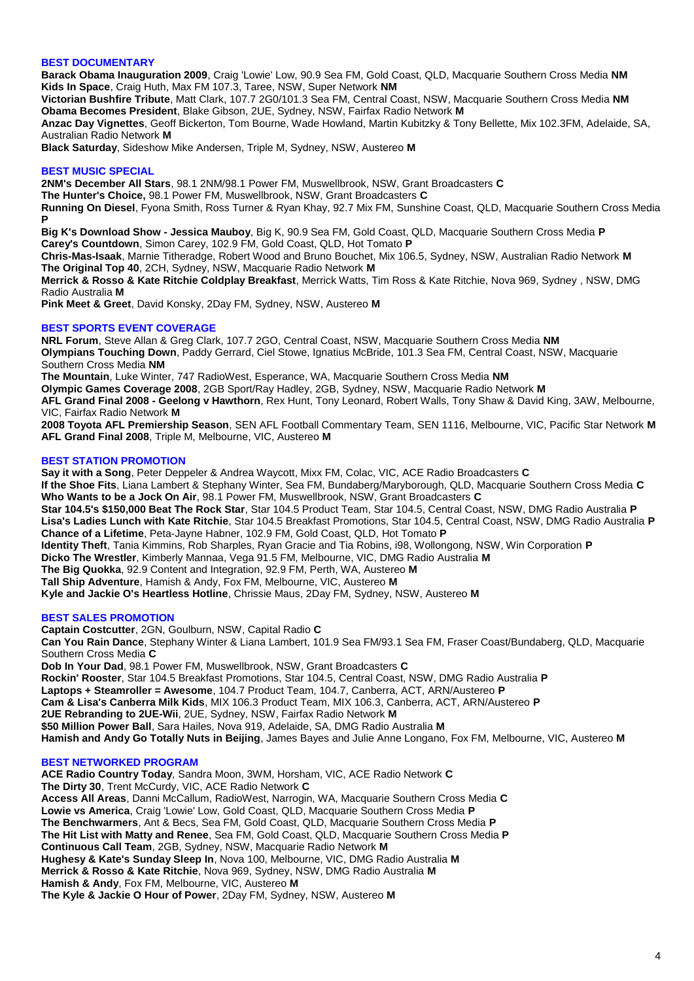# **BEST DOCUMENTARY**

**Barack Obama Inauguration 2009**, Craig 'Lowie' Low, 90.9 Sea FM, Gold Coast, QLD, Macquarie Southern Cross Media **NM Kids In Space**, Craig Huth, Max FM 107.3, Taree, NSW, Super Network **NM**

**Victorian Bushfire Tribute**, Matt Clark, 107.7 2G0/101.3 Sea FM, Central Coast, NSW, Macquarie Southern Cross Media **NM Obama Becomes President**, Blake Gibson, 2UE, Sydney, NSW, Fairfax Radio Network **M**

**Anzac Day Vignettes**, Geoff Bickerton, Tom Bourne, Wade Howland, Martin Kubitzky & Tony Bellette, Mix 102.3FM, Adelaide, SA, Australian Radio Network **M**

**Black Saturday**, Sideshow Mike Andersen, Triple M, Sydney, NSW, Austereo **M**

# **BEST MUSIC SPECIAL**

**2NM's December All Stars**, 98.1 2NM/98.1 Power FM, Muswellbrook, NSW, Grant Broadcasters **C The Hunter's Choice,** 98.1 Power FM, Muswellbrook, NSW, Grant Broadcasters **C Running On Diesel**, Fyona Smith, Ross Turner & Ryan Khay, 92.7 Mix FM, Sunshine Coast, QLD, Macquarie Southern Cross Media **P**

**Big K's Download Show - Jessica Mauboy**, Big K, 90.9 Sea FM, Gold Coast, QLD, Macquarie Southern Cross Media **P Carey's Countdown**, Simon Carey, 102.9 FM, Gold Coast, QLD, Hot Tomato **P**

**Chris-Mas-Isaak**, Marnie Titheradge, Robert Wood and Bruno Bouchet, Mix 106.5, Sydney, NSW, Australian Radio Network **M The Original Top 40**, 2CH, Sydney, NSW, Macquarie Radio Network **M**

**Merrick & Rosso & Kate Ritchie Coldplay Breakfast**, Merrick Watts, Tim Ross & Kate Ritchie, Nova 969, Sydney , NSW, DMG Radio Australia **M**

**Pink Meet & Greet**, David Konsky, 2Day FM, Sydney, NSW, Austereo **M**

# **BEST SPORTS EVENT COVERAGE**

**NRL Forum**, Steve Allan & Greg Clark, 107.7 2GO, Central Coast, NSW, Macquarie Southern Cross Media **NM Olympians Touching Down**, Paddy Gerrard, Ciel Stowe, Ignatius McBride, 101.3 Sea FM, Central Coast, NSW, Macquarie Southern Cross Media **NM The Mountain**, Luke Winter, 747 RadioWest, Esperance, WA, Macquarie Southern Cross Media **NM**

**Olympic Games Coverage 2008**, 2GB Sport/Ray Hadley, 2GB, Sydney, NSW, Macquarie Radio Network **M AFL Grand Final 2008 - Geelong v Hawthorn**, Rex Hunt, Tony Leonard, Robert Walls, Tony Shaw & David King, 3AW, Melbourne, VIC, Fairfax Radio Network **M**

**2008 Toyota AFL Premiership Season**, SEN AFL Football Commentary Team, SEN 1116, Melbourne, VIC, Pacific Star Network **M AFL Grand Final 2008**, Triple M, Melbourne, VIC, Austereo **M**

# **BEST STATION PROMOTION**

**Say it with a Song**, Peter Deppeler & Andrea Waycott, Mixx FM, Colac, VIC, ACE Radio Broadcasters **C If the Shoe Fits**, Liana Lambert & Stephany Winter, Sea FM, Bundaberg/Maryborough, QLD, Macquarie Southern Cross Media **C Who Wants to be a Jock On Air**, 98.1 Power FM, Muswellbrook, NSW, Grant Broadcasters **C Star 104.5's \$150,000 Beat The Rock Star**, Star 104.5 Product Team, Star 104.5, Central Coast, NSW, DMG Radio Australia **P Lisa's Ladies Lunch with Kate Ritchie**, Star 104.5 Breakfast Promotions, Star 104.5, Central Coast, NSW, DMG Radio Australia **P Chance of a Lifetime**, Peta-Jayne Habner, 102.9 FM, Gold Coast, QLD, Hot Tomato **P Identity Theft**, Tania Kimmins, Rob Sharples, Ryan Gracie and Tia Robins, i98, Wollongong, NSW, Win Corporation **P Dicko The Wrestler**, Kimberly Mannaa, Vega 91.5 FM, Melbourne, VIC, DMG Radio Australia **M The Big Quokka**, 92.9 Content and Integration, 92.9 FM, Perth, WA, Austereo **M Tall Ship Adventure**, Hamish & Andy, Fox FM, Melbourne, VIC, Austereo **M Kyle and Jackie O's Heartless Hotline**, Chrissie Maus, 2Day FM, Sydney, NSW, Austereo **M**

# **BEST SALES PROMOTION**

**Captain Costcutter**, 2GN, Goulburn, NSW, Capital Radio **C Can You Rain Dance**, Stephany Winter & Liana Lambert, 101.9 Sea FM/93.1 Sea FM, Fraser Coast/Bundaberg, QLD, Macquarie Southern Cross Media **C Dob In Your Dad**, 98.1 Power FM, Muswellbrook, NSW, Grant Broadcasters **C Rockin' Rooster**, Star 104.5 Breakfast Promotions, Star 104.5, Central Coast, NSW, DMG Radio Australia **P Laptops + Steamroller = Awesome**, 104.7 Product Team, 104.7, Canberra, ACT, ARN/Austereo **P Cam & Lisa's Canberra Milk Kids**, MIX 106.3 Product Team, MIX 106.3, Canberra, ACT, ARN/Austereo **P 2UE Rebranding to 2UE-Wii**, 2UE, Sydney, NSW, Fairfax Radio Network **M \$50 Million Power Ball**, Sara Hailes, Nova 919, Adelaide, SA, DMG Radio Australia **M Hamish and Andy Go Totally Nuts in Beijing**, James Bayes and Julie Anne Longano, Fox FM, Melbourne, VIC, Austereo **M**

# **BEST NETWORKED PROGRAM**

**ACE Radio Country Today**, Sandra Moon, 3WM, Horsham, VIC, ACE Radio Network **C The Dirty 30**, Trent McCurdy, VIC, ACE Radio Network **C Access All Areas**, Danni McCallum, RadioWest, Narrogin, WA, Macquarie Southern Cross Media **C Lowie vs America**, Craig 'Lowie' Low, Gold Coast, QLD, Macquarie Southern Cross Media **P The Benchwarmers**, Ant & Becs, Sea FM, Gold Coast, QLD, Macquarie Southern Cross Media **P The Hit List with Matty and Renee**, Sea FM, Gold Coast, QLD, Macquarie Southern Cross Media **P Continuous Call Team**, 2GB, Sydney, NSW, Macquarie Radio Network **M Hughesy & Kate's Sunday Sleep In**, Nova 100, Melbourne, VIC, DMG Radio Australia **M Merrick & Rosso & Kate Ritchie**, Nova 969, Sydney, NSW, DMG Radio Australia **M Hamish & Andy**, Fox FM, Melbourne, VIC, Austereo **M The Kyle & Jackie O Hour of Power**, 2Day FM, Sydney, NSW, Austereo **M**